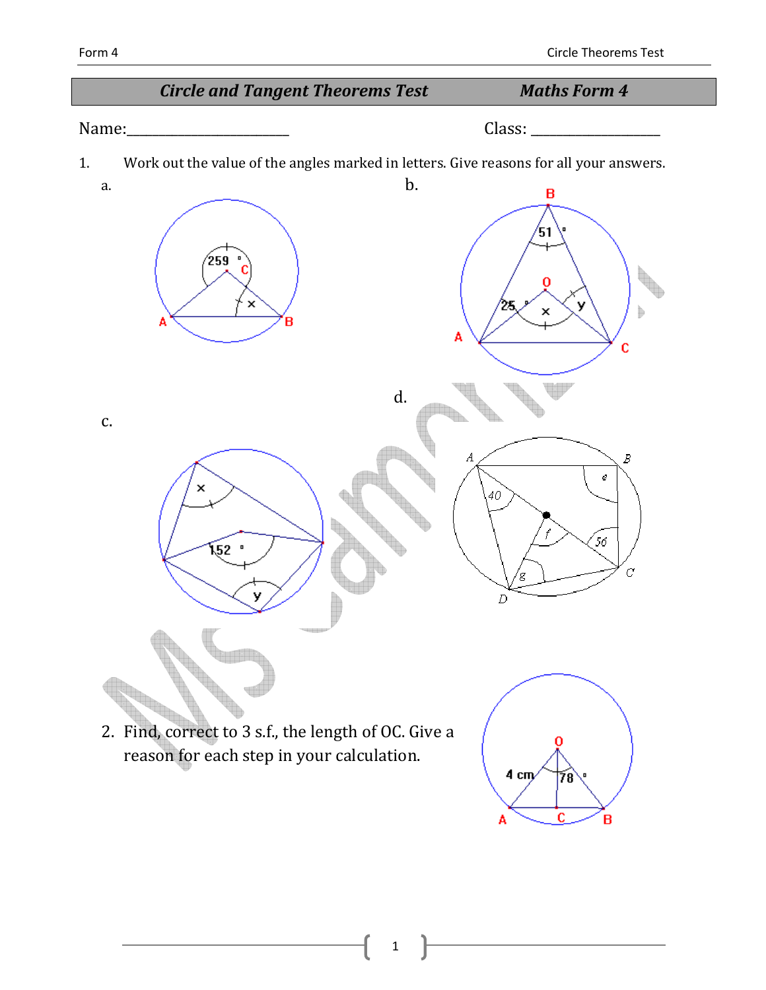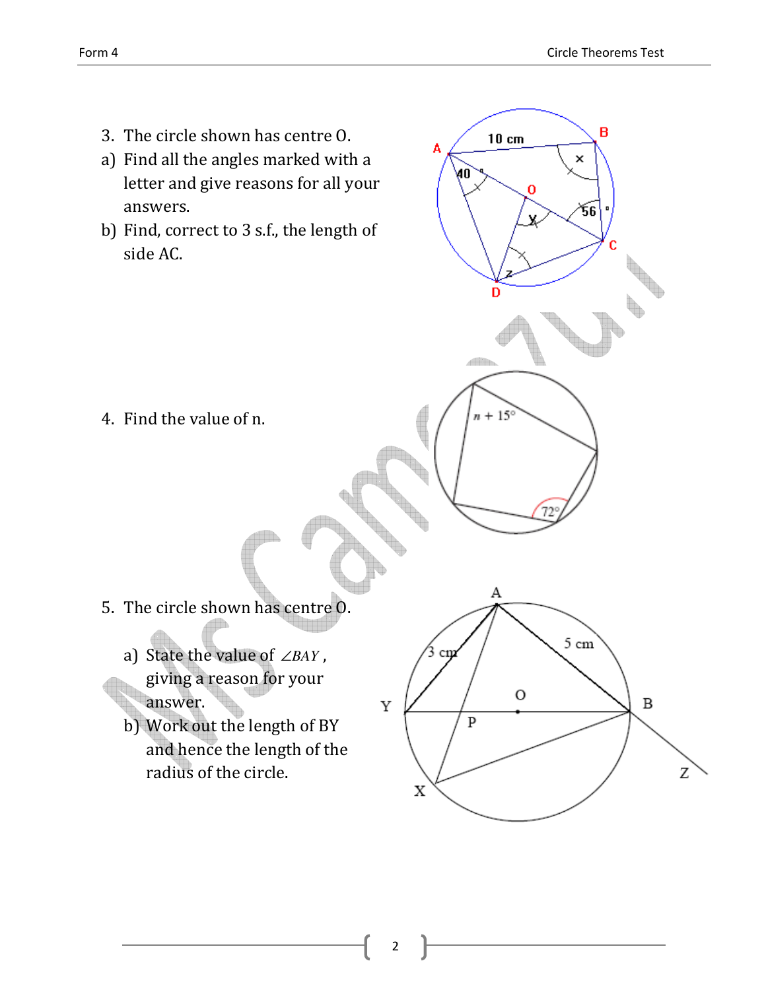B

×

56

 $10 \text{ cm}$ 

D

 $+15$ <sup>\*</sup> n

 $\triangle$ 

Λ

A

40

- 3. The circle shown has centre O.
- a) Find all the angles marked with a letter and give reasons for all your answers.
- b) Find, correct to 3 s.f., the length of side AC.



- 5. The circle shown has centre O.
	- a) State the value of ∠*BAY* , giving a reason for your answer.
	- b) Work out the length of BY and hence the length of the radius of the circle.

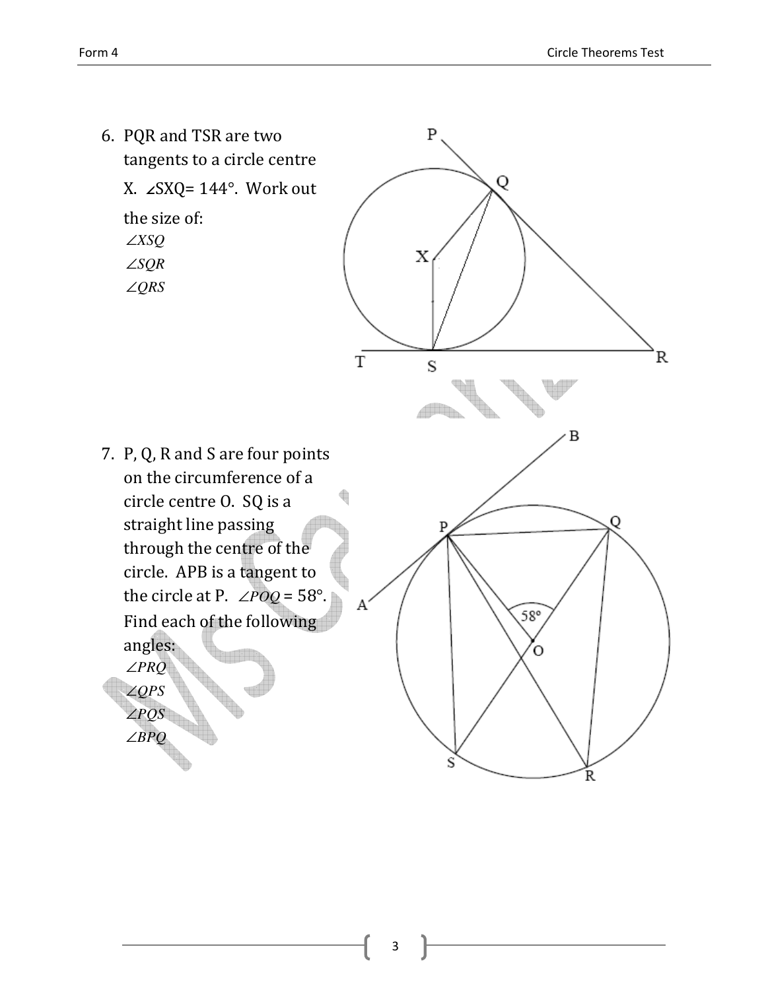